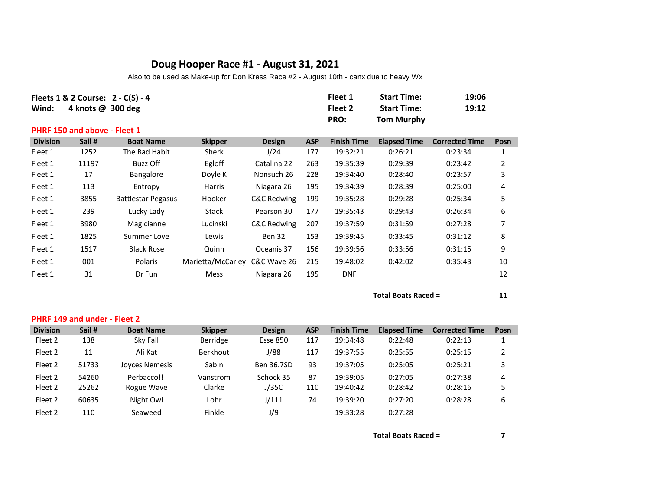## **Doug Hooper Race #1 - August 31, 2021**

Also to be used as Make-up for Don Kress Race #2 - August 10th - canx due to heavy Wx

| Wind:           | Fleets $1 & 2$ Course: $2 - C(S) - 4$<br>4 knots $\omega$ 300 deg |                           |                   |               |            | Fleet 1<br>Fleet 2<br>PRO: | <b>Start Time:</b><br><b>Start Time:</b><br><b>Tom Murphy</b> | 19:06<br>19:12        |                |
|-----------------|-------------------------------------------------------------------|---------------------------|-------------------|---------------|------------|----------------------------|---------------------------------------------------------------|-----------------------|----------------|
|                 | <b>PHRF 150 and above - Fleet 1</b>                               |                           |                   |               |            |                            |                                                               |                       |                |
| <b>Division</b> | Sail #                                                            | <b>Boat Name</b>          | <b>Skipper</b>    | <b>Design</b> | <b>ASP</b> | <b>Finish Time</b>         | <b>Elapsed Time</b>                                           | <b>Corrected Time</b> | Posn           |
| Fleet 1         | 1252                                                              | The Bad Habit             | Sherk             | J/24          | 177        | 19:32:21                   | 0:26:21                                                       | 0:23:34               | 1              |
| Fleet 1         | 11197                                                             | Buzz Off                  | Egloff            | Catalina 22   | 263        | 19:35:39                   | 0:29:39                                                       | 0:23:42               | $\overline{2}$ |
| Fleet 1         | 17                                                                | <b>Bangalore</b>          | Doyle K           | Nonsuch 26    | 228        | 19:34:40                   | 0:28:40                                                       | 0:23:57               | 3              |
| Fleet 1         | 113                                                               | Entropy                   | Harris            | Niagara 26    | 195        | 19:34:39                   | 0:28:39                                                       | 0:25:00               | 4              |
| Fleet 1         | 3855                                                              | <b>Battlestar Pegasus</b> | Hooker            | C&C Redwing   | 199        | 19:35:28                   | 0:29:28                                                       | 0:25:34               | 5              |
| Fleet 1         | 239                                                               | Lucky Lady                | Stack             | Pearson 30    | 177        | 19:35:43                   | 0:29:43                                                       | 0:26:34               | 6              |
| Fleet 1         | 3980                                                              | Magicianne                | Lucinski          | C&C Redwing   | 207        | 19:37:59                   | 0:31:59                                                       | 0:27:28               | 7              |
| Fleet 1         | 1825                                                              | Summer Love               | Lewis             | Ben 32        | 153        | 19:39:45                   | 0:33:45                                                       | 0:31:12               | 8              |
| Fleet 1         | 1517                                                              | <b>Black Rose</b>         | Quinn             | Oceanis 37    | 156        | 19:39:56                   | 0:33:56                                                       | 0:31:15               | 9              |
| Fleet 1         | 001                                                               | Polaris                   | Marietta/McCarley | C&C Wave 26   | 215        | 19:48:02                   | 0:42:02                                                       | 0:35:43               | 10             |
| Fleet 1         | 31                                                                | Dr Fun                    | Mess              | Niagara 26    | 195        | <b>DNF</b>                 |                                                               |                       | 12             |

## **Total Boats Raced = 11**

|                 | <b>PHRF 149 and under - Fleet 2</b> |                  |                 |                 |            |                    |                     |                       |      |  |  |  |
|-----------------|-------------------------------------|------------------|-----------------|-----------------|------------|--------------------|---------------------|-----------------------|------|--|--|--|
| <b>Division</b> | Sail #                              | <b>Boat Name</b> | <b>Skipper</b>  | <b>Design</b>   | <b>ASP</b> | <b>Finish Time</b> | <b>Elapsed Time</b> | <b>Corrected Time</b> | Posn |  |  |  |
| Fleet 2         | 138                                 | Sky Fall         | Berridge        | <b>Esse 850</b> | 117        | 19:34:48           | 0:22:48             | 0:22:13               |      |  |  |  |
| Fleet 2         | 11                                  | Ali Kat          | <b>Berkhout</b> | J/88            | 117        | 19:37:55           | 0:25:55             | 0:25:15               |      |  |  |  |
| Fleet 2         | 51733                               | Joyces Nemesis   | Sabin           | Ben 36.7SD      | 93         | 19:37:05           | 0:25:05             | 0:25:21               |      |  |  |  |
| Fleet 2         | 54260                               | Perbacco!!       | Vanstrom        | Schock 35       | 87         | 19:39:05           | 0:27:05             | 0:27:38               | 4    |  |  |  |
| Fleet 2         | 25262                               | Rogue Wave       | Clarke          | J/35C           | 110        | 19:40:42           | 0:28:42             | 0:28:16               |      |  |  |  |
| Fleet 2         | 60635                               | Night Owl        | Lohr            | J/111           | 74         | 19:39:20           | 0:27:20             | 0:28:28               | 6    |  |  |  |
| Fleet 2         | 110                                 | Seaweed          | Finkle          | J/9             |            | 19:33:28           | 0:27:28             |                       |      |  |  |  |

**Total Boats Raced = 7**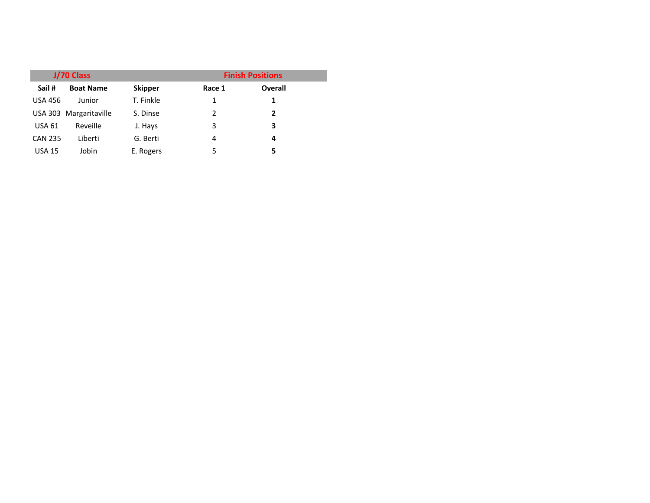|                | J/70 Class             |                | <b>Finish Positions</b> |                |  |  |  |
|----------------|------------------------|----------------|-------------------------|----------------|--|--|--|
| Sail #         | <b>Boat Name</b>       | <b>Skipper</b> | Race 1                  | <b>Overall</b> |  |  |  |
| <b>USA 456</b> | Junior                 | T. Finkle      | 1                       | 1              |  |  |  |
|                | USA 303 Margaritaville | S. Dinse       | 2                       | 2              |  |  |  |
| <b>USA 61</b>  | Reveille               | J. Hays        | 3                       | 3              |  |  |  |
| <b>CAN 235</b> | Liberti                | G. Berti       | 4                       | 4              |  |  |  |
| <b>USA 15</b>  | Jobin                  | E. Rogers      | 5                       | 5              |  |  |  |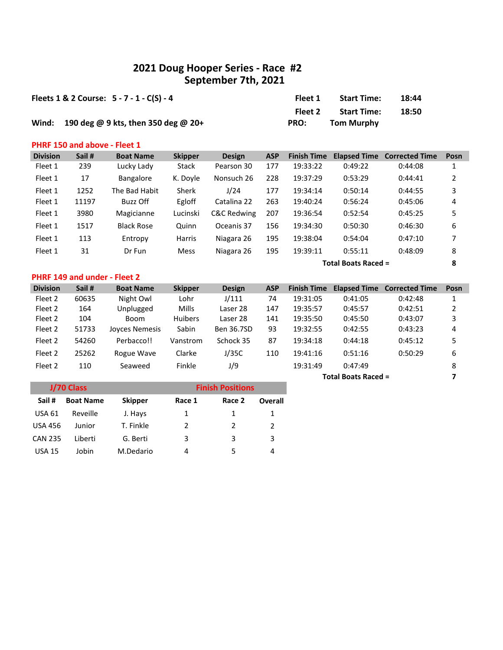## **2021 Doug Hooper Series - Race #2 September 7th, 2021**

| Fleets $1 & 2$ Course: $5 - 7 - 1 - C(S) - 4$ | Fleet 1 | <b>Start Time:</b> | 18:44 |
|-----------------------------------------------|---------|--------------------|-------|
|                                               | Fleet 2 | <b>Start Time:</b> | 18:50 |
| Wind: 190 deg @ 9 kts, then 350 deg @ 20+     | PRO:    | <b>Tom Murphy</b>  |       |

#### **PHRF 150 and above - Fleet 1**

| <b>Division</b> | Sail # | <b>Boat Name</b>  | <b>Skipper</b> | <b>Design</b>          | <b>ASP</b> | <b>Finish Time</b> | <b>Elapsed Time</b>        | <b>Corrected Time</b> | Posn |
|-----------------|--------|-------------------|----------------|------------------------|------------|--------------------|----------------------------|-----------------------|------|
| Fleet 1         | 239    | Lucky Lady        | <b>Stack</b>   | Pearson 30             | 177        | 19:33:22           | 0:49:22                    | 0:44:08               |      |
| Fleet 1         | 17     | Bangalore         | K. Doyle       | Nonsuch 26             | 228        | 19:37:29           | 0:53:29                    | 0:44:41               | 2    |
| Fleet 1         | 1252   | The Bad Habit     | <b>Sherk</b>   | J/24                   | 177        | 19:34:14           | 0:50:14                    | 0:44:55               | 3    |
| Fleet 1         | 11197  | Buzz Off          | Egloff         | Catalina 22            | 263        | 19:40:24           | 0:56:24                    | 0:45:06               | 4    |
| Fleet 1         | 3980   | Magicianne        | Lucinski       | <b>C&amp;C Redwing</b> | 207        | 19:36:54           | 0:52:54                    | 0:45:25               | 5    |
| Fleet 1         | 1517   | <b>Black Rose</b> | Quinn          | Oceanis 37             | 156        | 19:34:30           | 0:50:30                    | 0:46:30               | 6    |
| Fleet 1         | 113    | Entropy           | Harris         | Niagara 26             | 195        | 19:38:04           | 0:54:04                    | 0:47:10               | 7    |
| Fleet 1         | 31     | Dr Fun            | <b>Mess</b>    | Niagara 26             | 195        | 19:39:11           | 0:55:11                    | 0:48:09               | 8    |
|                 |        |                   |                |                        |            |                    | <b>Total Boats Raced =</b> |                       | 8    |

## **PHRF 149 and under - Fleet 2**

| <b>Division</b> | Sail # | <b>Boat Name</b>      | <b>Skipper</b> | <b>Design</b> | <b>ASP</b> | <b>Finish Time</b> |         | <b>Elapsed Time Corrected Time</b> | Posn |
|-----------------|--------|-----------------------|----------------|---------------|------------|--------------------|---------|------------------------------------|------|
| Fleet 2         | 60635  | Night Owl             | Lohr           | J/111         | 74         | 19:31:05           | 0:41:05 | 0:42:48                            |      |
| Fleet 2         | 164    | Unplugged             | Mills          | Laser 28      | 147        | 19:35:57           | 0:45:57 | 0:42:51                            |      |
| Fleet 2         | 104    | Boom                  | <b>Huibers</b> | Laser 28      | 141        | 19:35:50           | 0:45:50 | 0:43:07                            | 3    |
| Fleet 2         | 51733  | <b>Joyces Nemesis</b> | Sabin          | Ben 36.7SD    | 93         | 19:32:55           | 0:42:55 | 0:43:23                            | 4    |
| Fleet 2         | 54260  | Perbacco!!            | Vanstrom       | Schock 35     | 87         | 19:34:18           | 0:44:18 | 0:45:12                            | 5    |
| Fleet 2         | 25262  | Rogue Wave            | Clarke         | J/35C         | 110        | 19:41:16           | 0:51:16 | 0:50:29                            | 6    |
| Fleet 2         | 110    | Seaweed               | Finkle         | 1/9           |            | 19:31:49           | 0:47:49 |                                    | 8    |

**Total Boats Raced = 7**

|                | J/70 Class       |                | <b>Finish Positions</b> |        |         |  |  |  |
|----------------|------------------|----------------|-------------------------|--------|---------|--|--|--|
| Sail#          | <b>Boat Name</b> | <b>Skipper</b> | Race 1                  | Race 2 | Overall |  |  |  |
| <b>USA 61</b>  | Reveille         | J. Hays        | 1                       | 1      |         |  |  |  |
| <b>USA 456</b> | Junior           | T. Finkle      | $\mathcal{P}$           | 2      | 2       |  |  |  |
| <b>CAN 235</b> | Liberti          | G. Berti       | 3                       | 3      | 3       |  |  |  |
| <b>USA 15</b>  | Jobin            | M.Dedario      | 4                       | 5      | 4       |  |  |  |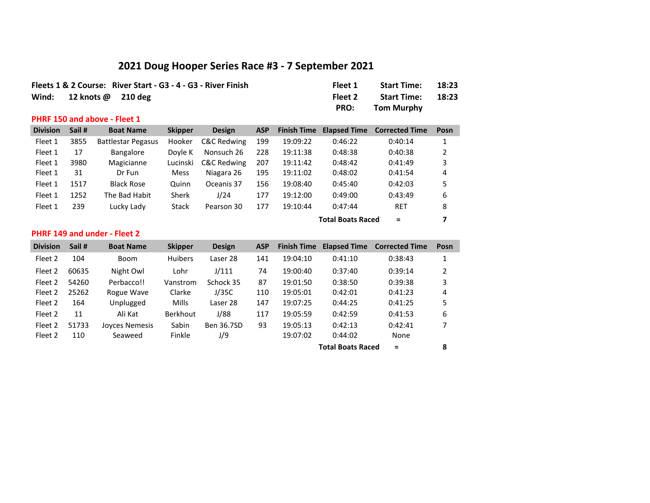# **2021 Doug Hooper Series Race #3 - 7 September 2021**

|                            | Fleets 1 & 2 Course: River Start - G3 - 4 - G3 - River Finish | Fleet 1     | <b>Start Time:</b> | 18:23 |
|----------------------------|---------------------------------------------------------------|-------------|--------------------|-------|
| Wind: $12$ knots @ 210 deg |                                                               | Fleet 2     | <b>Start Time:</b> | 18:23 |
|                            |                                                               | <b>PRO:</b> | Tom Murphy         |       |

#### **PHRF 150 and above - Fleet 1**

| <b>Division</b> | Sail # | <b>Boat Name</b>          | <b>Skipper</b> | <b>Design</b>          | <b>ASP</b> | <b>Finish Time</b> | <b>Elapsed Time</b> | <b>Corrected Time</b> | Posn |
|-----------------|--------|---------------------------|----------------|------------------------|------------|--------------------|---------------------|-----------------------|------|
| Fleet 1         | 3855   | <b>Battlestar Pegasus</b> | Hooker         | <b>C&amp;C Redwing</b> | 199        | 19:09:22           | 0:46:22             | 0:40:14               |      |
| Fleet 1         | 17     | <b>Bangalore</b>          | Dovle K        | Nonsuch 26             | 228        | 19:11:38           | 0:48:38             | 0:40:38               | 2    |
| Fleet 1         | 3980   | Magicianne                | Lucinski       | <b>C&amp;C Redwing</b> | 207        | 19:11:42           | 0:48:42             | 0:41:49               | 3    |
| Fleet 1         | 31     | Dr Fun                    | <b>Mess</b>    | Niagara 26             | 195        | 19:11:02           | 0:48:02             | 0:41:54               | 4    |
| Fleet 1         | 1517   | <b>Black Rose</b>         | Quinn          | Oceanis 37             | 156        | 19:08:40           | 0:45:40             | 0:42:03               | 5    |
| Fleet 1         | 1252   | The Bad Habit             | Sherk          | J/24                   | 177        | 19:12:00           | 0:49:00             | 0:43:49               | 6    |
| Fleet 1         | 239    | Lucky Lady                | Stack          | Pearson 30             | 177        | 19:10:44           | 0:47:44             | <b>RET</b>            | 8    |

## **Total Boats Raced = 7**

### **PHRF 149 and under - Fleet 2**

| <b>Division</b> | Sail # | <b>Boat Name</b> | <b>Skipper</b>  | <b>Design</b> | <b>ASP</b> | <b>Finish Time</b> | <b>Elapsed Time</b>      | <b>Corrected Time</b> | Posn |
|-----------------|--------|------------------|-----------------|---------------|------------|--------------------|--------------------------|-----------------------|------|
| Fleet 2         | 104    | <b>Boom</b>      | <b>Huibers</b>  | Laser 28      | 141        | 19:04:10           | 0:41:10                  | 0:38:43               | 1    |
| Fleet 2         | 60635  | Night Owl        | Lohr            | J/111         | 74         | 19:00:40           | 0:37:40                  | 0:39:14               | 2    |
| Fleet 2         | 54260  | Perbacco!!       | Vanstrom        | Schock 35     | 87         | 19:01:50           | 0:38:50                  | 0:39:38               | 3    |
| Fleet 2         | 25262  | Rogue Wave       | Clarke          | J/35C         | 110        | 19:05:01           | 0:42:01                  | 0:41:23               | 4    |
| Fleet 2         | 164    | Unplugged        | Mills           | Laser 28      | 147        | 19:07:25           | 0:44:25                  | 0:41:25               | 5    |
| Fleet 2         | 11     | Ali Kat          | <b>Berkhout</b> | J/88          | 117        | 19:05:59           | 0:42:59                  | 0:41:53               | 6    |
| Fleet 2         | 51733  | Joyces Nemesis   | Sabin           | Ben 36.7SD    | 93         | 19:05:13           | 0:42:13                  | 0:42:41               |      |
| Fleet 2         | 110    | Seaweed          | Finkle          | J/9           |            | 19:07:02           | 0:44:02                  | None                  |      |
|                 |        |                  |                 |               |            |                    | <b>Total Boats Raced</b> | $\equiv$              | 8    |